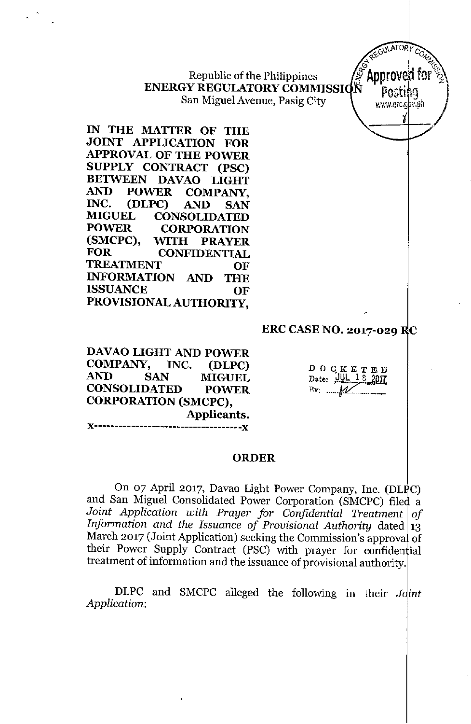Republic of the Philippines **ENERGY REGULATORY COMMISSI** San Miguel Avenue, Pasig City

**IN THE MATTER OF THE JOINT APPLICATION FOR APPROVAL OF THE POWER SUPPLY CONTRACT (PSC) BETWEEN DAVAO LIGHT AND POWER COMPANY, INC. (DLPC) AND SAN MIGUEL CONSOLIDATED POWER CORPORATION (SMCPC), WITH PRAYER FOR CONFIDENTIAL TREATMENT OF INFORMATION AND THE ISSUANCE OF PROVISIONAL AUTHORITY,**

## **ERC CASE NO. 2017-029 C**

REGULATORY

**DAVAO LIGHT AND POWER COMPANY, INC. (DLPC) AND SAN MIGUEL CONSOLIDATED POWER CORPORATION (SMCPC), Applicants. J<------------------------------------J<**

DOqKETED  $\overline{\text{Date:}}$   $\underline{\text{III}}$  $\underline{\text{I}}$  $\underline{\text{I}}$  $\underline{\text{20}}$  $Rv: M$ 

## **ORDER**

On 07 April 2017, Davao Light Power Company, Inc. (DLPC) and San Miguel Consolidated Power Corporation (SMCPC) filed a *Joint Application with Prayer for Confidential Treatment of Information* and the *Issuance* of *Provisional Authority* dated  $13$ March 2017 (Joint Application) seeking the Commission's approval of their Power Supply Contract (PSC) with prayer for confidential treatment of information and the issuance of provisional authority.

DLPC and SMCPC alleged the following in their *J int Application:*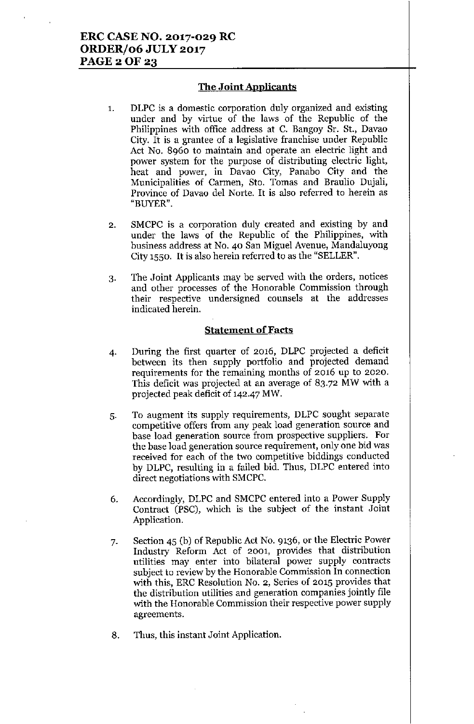## The Joint Applicants

- 1. DLPC is a domestic corporation duly organized and existing under and by virtue of the laws of the Republic of the Philippines with office address at C. Bangoy Sr. St., Davao City. It is a grantee of a legislative franchise under Republic Act No. 8960 to maintain and operate an electric light and power system for the purpose of distributing electric light, heat and power, in Davao City, Panaho City and the Municipalities of Carmen, Sto. Tomas and Braulio Dujali, Province of Davao del Norte. It is also referred to herein as "BUYER".
- 2. SMCPC is a corporation duly created and existing by and under the laws of the Republic of the Philippines, with business address at No. 40 San Miguel Avenue, Mandaluyong City 1550. It is also herein referred to as the "SELLER".
- 3. The Joint Applicants may be served with the orders, notices and other processes of the Honorable Commission through their respective undersigned counsels at the addresses indicated herein.

## Statement of Facts

- 4. During the first quarter of 2016, DLPC projected a deficit between its then supply portfolio and projected demand requirements for the remaining months of 2016 up to 2020. This deficit was projected at an average of 83.72 MW with a projected peak deficit of 142-47 MW.
- 5. To augment its supply requirements, DLPC sought separate competitive offers from any peak load generation source and base load generation source from prospective suppliers. For the base load generation source requirement, only one bid was received for each of the two competitive biddings conducted by DLPC, resulting in a failed bid. Thus, DLPC entered into direct negotiations with SMCPC.
- 6. Accordingly, DLPC and SMCPC entered into a Power Supply Contract (PSC), which is the subject of the instant Joint Application.
- 7. Section 45 (b) of Repnblic Act No. 9136, or the Electric Power Industry Reform Act of 2001, provides that distribution utilities may enter into bilateral power supply contracts subject to review by the Honorable Commission In connection with this, ERC Resolution No. 2, Series of 2015 provides that the distribution utilities and generation companies jointly file with the Honorable Commission their respective power supply agreements.
- 8. Thus, this instant Joint Application.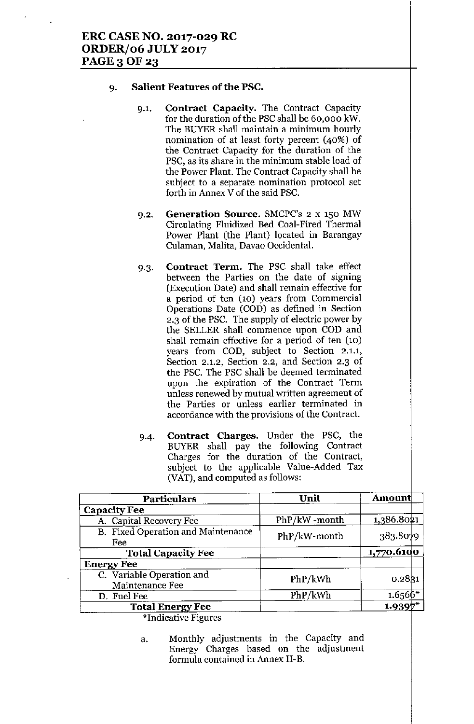#### 9. **Salient Features ofthe PSC.**

- 9.1. **Contract Capacity.** The Contract Capacity for the duration of the PSC shall be 60,000 kW. **The BUYER shall maintain a minimum hourly** nomination of at least forty percent (40%) of the Contract Capacity for the duration of the **PSC, as its share in the minimum stable load of** the Power Plant. The Contract Capacity shall be **subject to a separate nomination protocol set** forth in Annex V of the said PSC.
- 9.2. **Generation Source. SMCPC's 2 x 150 MW** Circulating Fluidized Bed Coal-Fired Thermal Power Plant (the Plant) located in Barangay **Culaman, Malita, Davao Occidental.**
- 9.3. **Contract Term.** The PSC shall take effect **between the Parties on the date of signing (Execution Date) and shall remain effective for a period of ten (10) years from Commercial** Operations Date (COD) as defined in Section 2.3 of the PSC. The supply of electric power by the SELLER shall commence upon COD and **shall remain effective for a period of ten (10) years from** COD, subject to **Section 2,1,1, Section 2.1.2, Section 2.2, and Section 2.3 of** the PSC. The PSC shall be deemed terminated **upon the expiration of the Contract Term unless renewed by mutual written agreement of the Parties or unless earlier terminated in accordance with the provisions of the Contract.**
- 9-4. **Contract Charges.** Under the PSC, the BUYER shall pay the following **Contract** Charges for the **duration** of the **Contract,** subject to the applicable Value-Added Tax (VAT), and computed as follows:

| PhP/kW-month | 1,386.8021   |
|--------------|--------------|
|              |              |
|              |              |
|              | 383.8079     |
|              | 1,770.61do   |
|              |              |
| PhP/kWh      | 0.28g1       |
| PhP/kWh      | $1.6566*$    |
|              | $1.9397$ *   |
|              | PhP/kW-month |

**\*Indicative Figures**

a. Monthly **adjustments** in the Capacity and **Energy** Charges based on the **adjustment formula contained in Annex II-B.**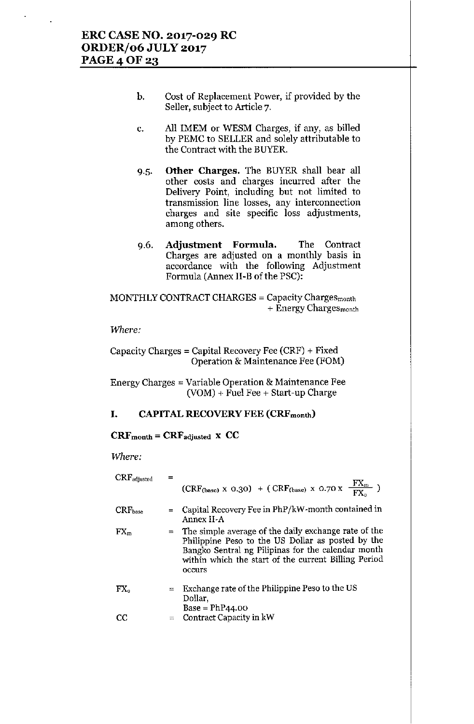- b. Cost of Replacement Power, if provided by the Seller, subject to Article 7.
- c. All lMEM or WESM Charges, if any, as billed by PEMC to SELLER and solely attributable to the Contract with the BUYER.
- 9.5. Other Charges. The BUYER shall bear all other costs and charges incurred after the Delivery Point, including but not limited to transmission line losses, any interconnection charges and site specific loss adjustments, among others.
- 9.6. Adjustment Formula. The Contract Charges are adjusted on a monthly basis in accordance with the following Adjustment Formnla (Annex ll-B of the PSC):

MONTHLY CONTRACT CHARGES = Capacity Chargesmonth + Energy Charges<sub>month</sub>

*Where:*

Capacity Charges = Capital Recovery Fee (CRF) + Fixed Operation & Maintenance Fee (FOM)

Energy Charges = Variable Operation & Maintenance Fee  $(VOM)$  + Fuel Fee + Start-up Charge

## I. CAPITAL RECOVERY FEE (CRFmonth)

#### $CRF<sub>month</sub> = CRF<sub>adjusted</sub> x CC$

*Where:*

| $CRF_{adjusted}$ |     | $(CRF_{(base)} \times 0.30)$ + $(CRF_{(base)} \times 0.70 \times \frac{FX_m}{FX_c})$                                                                                                                                                  |
|------------------|-----|---------------------------------------------------------------------------------------------------------------------------------------------------------------------------------------------------------------------------------------|
| $CRF_{base}$     | $=$ | Capital Recovery Fee in PhP/kW-month contained in<br>Annex II-A                                                                                                                                                                       |
| $FX_{m}$         |     | $=$ The simple average of the daily exchange rate of the<br>Philippine Peso to the US Dollar as posted by the<br>Bangko Sentral ng Pilipinas for the calendar month<br>within which the start of the current Billing Period<br>occurs |
| ${\rm FX}_\circ$ |     | $=$ Exchange rate of the Philippine Peso to the US<br>Dollar,<br>$Base = PhP44.00$                                                                                                                                                    |
| CC               |     | $=$ Contract Capacity in kW                                                                                                                                                                                                           |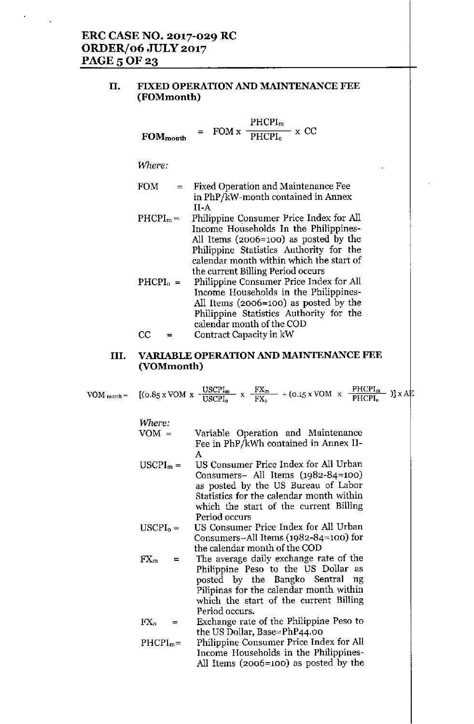## II. FIXED OPERATION AND MAINTENANCE FEE (FOMmonth)

$$
FOM_{month} = FOM x \frac{PHCPI_{m}}{PHCPI_{o}} x CC
$$

Where:

- $FOM =$ Fixed Operation and Maintenance Fee in PhP/kW-month contained in Annex II-A
- $PHCPI<sub>m</sub> =$ Philippine Consumer Price Index for All Income Households In the Philippines-All Items (2006=100) as posted by the Philippine Statistics Authority for the calendar month within which the start of the current Billing Period occurs
- $PHCPI_0 =$ Philippine Consumer Price Index for All Income Households in the Philippines-All Items (2006=100) as posted by the Philippine Statistics Authority for the calendar month of the COD

#### $CC =$ Contract Capacity in kW

## III. VARIABLE OPERATION AND MAINTENANCE FEE (VOMmonth)

|                   | VOM month = $[(0.85 \times \text{VOM} \times \frac{\text{USCPI}_m}{\text{USCPI}_0} \times \frac{\text{FX}_m}{\text{FX}_0} + (0.15 \times \text{VOM} \times \frac{\text{PHCPI}_m}{\text{PHCPI}_0})] \times \text{AF}$                                                                                           |
|-------------------|----------------------------------------------------------------------------------------------------------------------------------------------------------------------------------------------------------------------------------------------------------------------------------------------------------------|
| Where:<br>$VOM =$ | Variable Operation and Maintenance<br>Fee in PhP/kWh contained in Annex II-                                                                                                                                                                                                                                    |
| $USCPI_m =$       | А<br>US Consumer Price Index for All Urban                                                                                                                                                                                                                                                                     |
|                   | Consumers- All Items $(1982-84=100)$<br>as posted by the US Bureau of Labor<br>$\sim$ . The set of the set of the set of the set of the set of the set of the set of the set of the set of the set of the set of the set of the set of the set of the set of the set of the set of the set of the set of the s |

- $USCPI<sub>o</sub> =$ Statistics for the calendar month within which the start of the current Billing Period occurs US Consumer Price Index for All Urban
- Consumers-All Items (1982-84~100) for the calendar month of the COD
- $FX_m =$ The average daily exchange rate of the Philippine Peso to the US Dollar as posted by the Bangko Sentral ng Pilipinas for the calendar month within which the start of the current Billing Period occurs.

Exchange rate of the Philippine Peso to  $FX_{o}$ the US Dollar, Base=PhP44.00

 $PHCPI<sub>m</sub>$ = Philippine Consumer Price Index for All Income Households in the Philippines-All Items (2006=100) as posted by the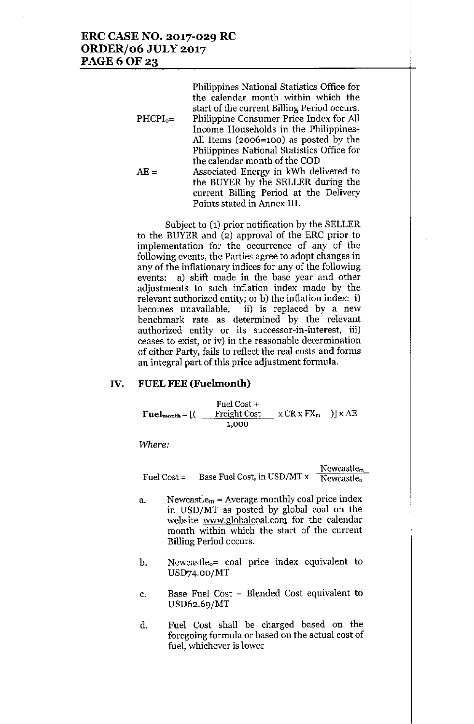# ERC CASE NO. 2017-029 RC ORDER/06 JULY 2017 **PAGE 6 OF 23**

|             | Philippines National Statistics Office for  |
|-------------|---------------------------------------------|
|             | the calendar month within which the         |
|             | start of the current Billing Period occurs. |
| $PHCPI_0 =$ | Philippine Consumer Price Index for All     |
|             | Income Households in the Philippines-       |
|             | All Items (2006=100) as posted by the       |
|             | Philippines National Statistics Office for  |
|             | the calendar month of the COD               |
| $AE =$      | Associated Energy in kWh delivered to       |
|             | the BUYER by the SELLER during the          |
|             | current Billing Period at the Delivery      |
|             | Points stated in Annex III.                 |

Subject to (1) prior notification by the SELLER to the BUYER and (2) approval of the ERC prior to implementation for the occurrence of any of the following events, the Parties agree to adopt changes in any of the inflationary indices for any of the following events: a) shift made in the base year and other adjustments to such inflation index made by the relevant authorized entity; or b) the inflation index: i) becomes unavailable, ii) is replaced by a new benchmark rate as determined by the relevant authorized entity or its successor-in-interest, iii) ceases to exist, or iv) in the reasonable determination of either Party, fails to reflect the real costs and forms an integral part of this price adjustment formula.

## IV. FUELFEE (Fuelmonth)

 $\text{Full}_{\text{month}} = \left[ \left( \begin{array}{c} \text{Freight Cost} \\ \text{Feight Cost} \end{array} \right] \times \text{CR} \times \text{FX}_{m} \end{array} \right) \right] \times \text{A}$ Fuel Cost + 1,000

*Where:*

|             |                             | Newcastle <sub>m</sub> |
|-------------|-----------------------------|------------------------|
| Fuel Cost = | Base Fuel Cost, in USD/MT x | Newcastle <sub>o</sub> |

- a. Newcastle<sub>m</sub> = Average monthly coal price index in USD/MT as posted by global coal on the website www.globalcoal.com for the calendar month within which the start of the current Billing Period occurs.
- b. Newcastleo= coal price index equivalent to USD74.oo/MT
- c. Base Fuel Cost = Blended Cost equivalent to USD62.69/MT
- d. Fuel Cost shall be charged based on the foregoing formula or based on the actual cost of fuel, whichever is lower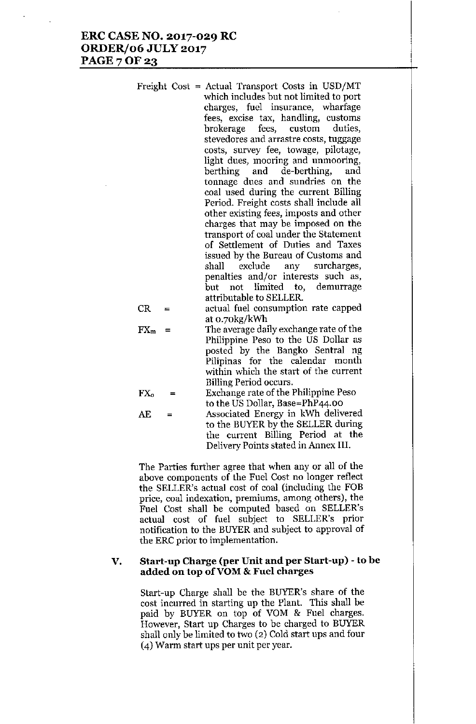| Freight Cost = Actual Transport Costs in USD/MT<br>which includes but not limited to port<br>charges, fuel insurance, wharfage<br>fees, excise tax, handling, customs<br>brokerage fees, custom duties,<br>stevedores and arrastre costs, tuggage<br>costs, survey fee, towage, pilotage,<br>light dues, mooring and unmooring,<br>berthing and de-berthing, and |
|------------------------------------------------------------------------------------------------------------------------------------------------------------------------------------------------------------------------------------------------------------------------------------------------------------------------------------------------------------------|
| tonnage dues and sundries on the<br>coal used during the current Billing                                                                                                                                                                                                                                                                                         |
| Period. Freight costs shall include all                                                                                                                                                                                                                                                                                                                          |
| other existing fees, imposts and other                                                                                                                                                                                                                                                                                                                           |
| charges that may be imposed on the                                                                                                                                                                                                                                                                                                                               |
| transport of coal under the Statement                                                                                                                                                                                                                                                                                                                            |
| of Settlement of Duties and Taxes                                                                                                                                                                                                                                                                                                                                |
| issued by the Bureau of Customs and                                                                                                                                                                                                                                                                                                                              |
| shall exclude any surcharges,                                                                                                                                                                                                                                                                                                                                    |
| penalties and/or interests such as,                                                                                                                                                                                                                                                                                                                              |
| but not limited to, demurrage<br>attributable to SELLER.                                                                                                                                                                                                                                                                                                         |
|                                                                                                                                                                                                                                                                                                                                                                  |

CR = actual fuel consumption rate capped at 0.70kg/kWh

 $FX_m =$  The average daily exchange rate of the Philippine Peso to the US Dollar as posted by the Bangko Sentral ng Pilipinas for the calendar month within which the start of the current Billing Period occurs.

$$
FXo =
$$
 Exchange rate of the Philippe Peso  
to the US Dollar, Base=PhP44.00

AE = Associated Energy in kWh delivered to the BUYER by the SELLER during the current Billing Period at the Delivery Points stated in Annex III.

The Parties further agree that when any or all of the above components of the Fuel Cost no longer reflect the SELLER's actual cost of coal (including the FOB price, coal indexation, premiums, among others), the Fuel Cost shall be computed based on SELLER's actual cost of fuel subject to SELLER's prior notification to the BUYER and subject to approval of the ERC prior to implementation.

#### V. Start-up Charge (per Unit and per Start-up) - to be added on top ofVOM & Fuel charges

Start-up Charge shall be the BUYER's share of the cost incurred in starting up the Plant. This shall be paid by BUYER on top of YOM & Fuel charges. However, Start up Charges to be charged to BUYER shall only be limited to two (2) Cold start ups and four (4) Warm start ups per unit per year.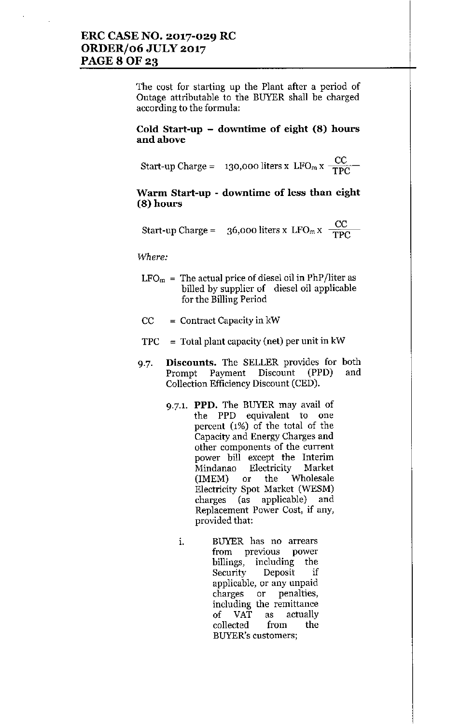## **ERC CASE NO. 2017-029 RC ORDER/06 JULY 2017** PAGE 8 OF 23

The cost for starting up the Plant after a period of Outage attributable to the BUYER shall be charged **according to the formula:**

#### **Cold Start-up - downtime of eight (8) hours** and above

 $\text{Start-up Charge} = 130,000 \text{ liters} \times \text{LFO}_\text{m} \times \frac{\text{CC}}{\text{TPC}}$ TPC

## **Warm Start-up - downtime of less than eight (8) hours**

 $\text{Start-up Charge} = 36,000 \text{ liters} \times \text{LFO}_\text{m} \times \frac{\text{CC}}{\text{TPC}}$ TPC

*Where:*

- $LFO<sub>m</sub>$  = The actual price of diesel oil in PhP/liter as billed by supplier of diesel oil applicable for the Billing Period
- $CC =$  Contract Capacity in kW
- $TPC = Total plant capacity (net) per unit in kW$
- 9.7. **Discounts.** The SELLER provides for both Prompt Payment Discount (PPD) Collection Efficiency Discount (CED). and
	- 9.7.1. **PPD.** The BUYER may avail of **the PPD equivalent to one** percent (1%) of the total of the Capacity and Energy Charges and **other components of the current** power bill except the Interim **Mindanao Electricity Market** (IMEM) or the Wholesale Electricity Spot Market (WESM) charges (as applicable) and **Replacement Power Cost, if any,** provided that:
		- **1. BUYER has no arrears from previous power** billings, including the **Security Deposit if applicable, or any unpaid charges or penalties, including the remittance** of VAT as actually collected from the **BUYER's customers;**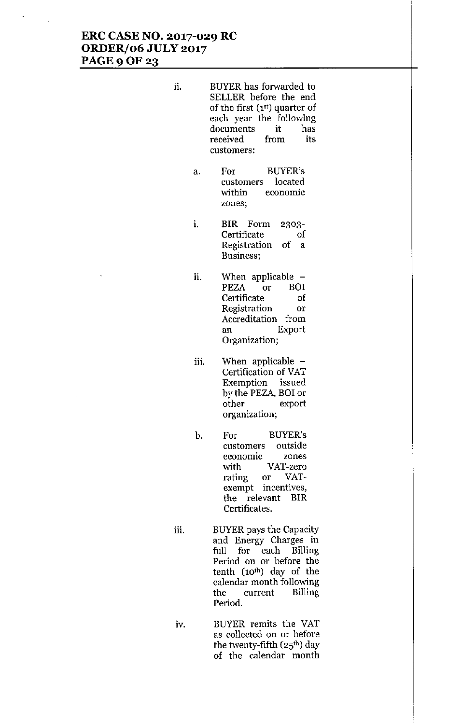# **ERC CASE NO. 2017-029 RC ORDERJ06 JULY 2017 PAGE90F23**

- ii. BUYER has forwarded to SELLER before the end of the first (1st) quarter of each year the following **documents it has received from its customers:**
	- a. For BUYER's **customers located \Vithin economic zones;**
	- i. BIR Form **Certificate Registration** of a **Business;** 2303 of
	- ii. When applicable PEZA or BOI **Certificate of Registration or Accreditation from an Export Organization;**
	- iii. When applicable -Certification of VAT **Exemption issued** by the PEZA, BO! or **other export organization;**
	- b. For BUYER's **customers outside economIC zones** with VAT-zero **rating or VATexempt incentives,** the relevant BIR **Certificates.**
- iii. BUYER pays the Capacity **and Energy Charges In** full for each Billing **Period on or before the** tenth (10<sup>th</sup>) day of the **calendar month following the current Billing** Period.
- iv. BUYER remits the VAT **as collected on or before** the twenty-fifth  $(25<sup>th</sup>)$  day of the calendar month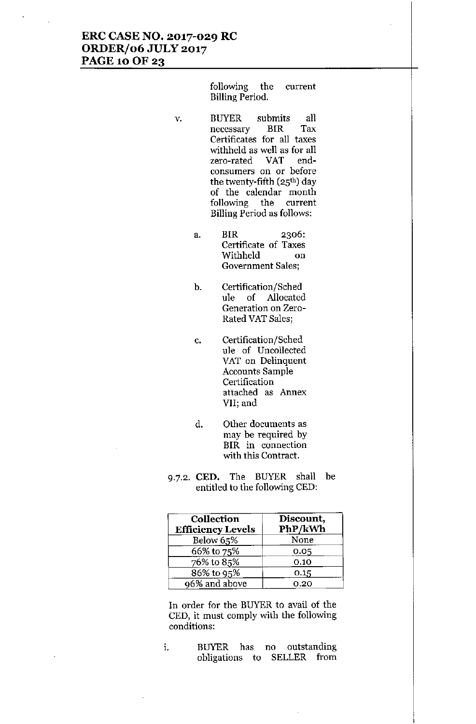# **ERC CASE NO. 2017-029 RC ORDERf06 JULY 2017** PAGE 10 OF 23

following the current Billing Period.

- v. BUYER submits all **necessary ErR Tax Certificates for all taxes** withheld as well as for all **zero-rated VAT endconsumers on or before** the twenty-fifth (25<sup>th</sup>) day of the calendar month following the current Billing Period as follows:
	- a. BIR 2306: **Certificate of Taxes** Withheld on **Government Sales;**
	- b. Certification/Sched ule of Allocated **Generation on Zero-**Rated VAT Sales;
	- c. Certification/Sched ule of Uncollected VAT on Delinquent **Accounts Sample Certification attached as Annex VII; and**
	- **d. Other documents as** may be required by **BrR in connection** with this Contract.
- 9.7.2. **CED.** The BUYER shall be entitled to the following CED:

| Collection<br><b>Efficiency Levels</b> | Discount,<br>PhP/kWh |
|----------------------------------------|----------------------|
| Below 65%                              | None                 |
| 66% to 75%                             | 0.05                 |
| 76% to 85%                             | 0.10                 |
| 86% to 95%                             | 0.15                 |
| 96% and above                          | 0.20                 |

In order for the BUYER to avail of the CED, it must comply with the following **conditions:**

**1. BUYER has no outstanding** obligations to SELLER from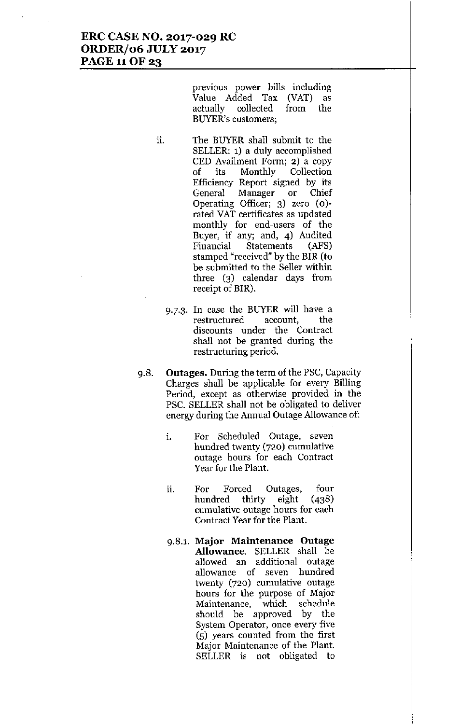**previous power bills including** Value Added Tax (VAT) as actually collected from the **BUYER's customers;**

- ii. The BUYER shall submit to the SELLER: 1) a duly accomplished CED Availment Form; 2) a copy of its Monthly Collection Efficiency Report signed by its **General Manager or Chief** Operating Officer; 3) zero (0) rated VAT certificates as updated monthly for end-users of the Buyer, if any; and, 4) Audited Financial Statements (AFS) stamped "received" by the BIR (to be submitted to the Seller within three (3) calendar days from receipt of BIR).
	- 9.7.3. In case the BUYER will have a **restructured account, the discounts under the Contract** shall not be granted during the **restructuring period.**
- 9.8. Outages. During the term of the PSC, Capacity Charges shall be applicable for every Billing **Period, except as otherwise provided in the** PSC. SELLER shall not be obligated to deliver **energy during the Annual Outage Allowance of:**
	- **1. For Scheduled Outage, seven** hundred twenty (720) cumulative **outage hours for each Contract** Year for the Plant.
	- **n. For Forced Outages, four** hundred thirty eight (438) **cumulative outage hours for each Contract Year for the Plant.**
	- **9.8.1. Major Maintenance Outage** Allowance. SELLER shall be **allowed an additional outage allowance of seven hundred** twenty (720) cumulative outage **hours for the purpose of Major Maintenance, which schedule** should be approved by the **System Operator, once every five** (5) years counted from the first **Major Maintenance of the Plant.** SELLER is not obligated to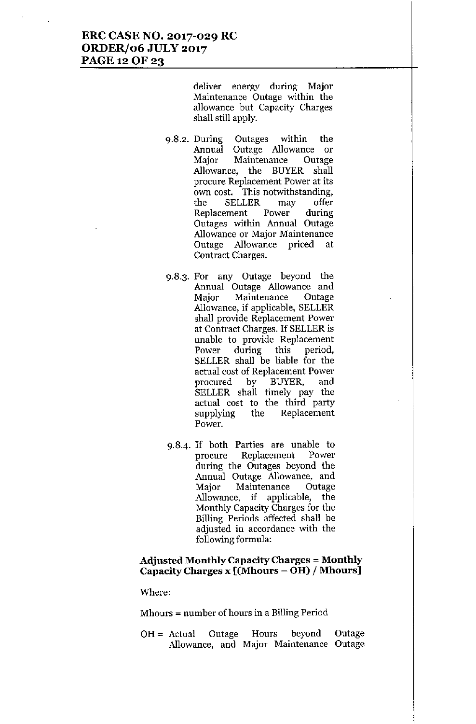## ERC CASE NO. 2017-029 RC ORDER/06 JULY 2017 PAGE 12 OF 23

deliver energy during Major Maintenance Outage within the allowance but Capacity Charges shall still apply.

- 9.8.2. During Outages within the Annual Outage Allowance or Major Maintenance Outage Allowance, the BUYER shall procure Replacement Power at its own cost. This notwithstanding, the SELLER may offer Replacement Power during Outages within Annual Outage Allowance or Major Maintenance Outage Allowance priced at Contract Charges.
- 9.8.3. For any Outage beyond the Annual Outage Allowance and Major Maintenance Outage Allowance, if applicable, SELLER shall provide Replacement Power at Contract Charges. If SELLER is unable to provide Replacement Power during this period, SELLER shall be liable for the actual cost of Replacement Power procured by BUYER, and SELLER shall timely pay the actual cost to the third party supplying the Replacement Power.
- 9.8-4. If both Parties are unable to procure Replacement Power during the Outages beyond the Annual Outage Allowance, and Major Maintenance Outage Allowance, if applicable, the Monthly Capacity Charges for the Billing Periods affected shall be adjusted in accordance with the following formula:

#### Adjusted Monthly Capacity Charges = Monthly Capacity Charges x [(Mhours - OH) / Mhours]

Where:

Mhours = number of hours in a Billing Period

 $OH = Actual$  Outage Hours beyond Allowance, and Major Maintenance OutageOutage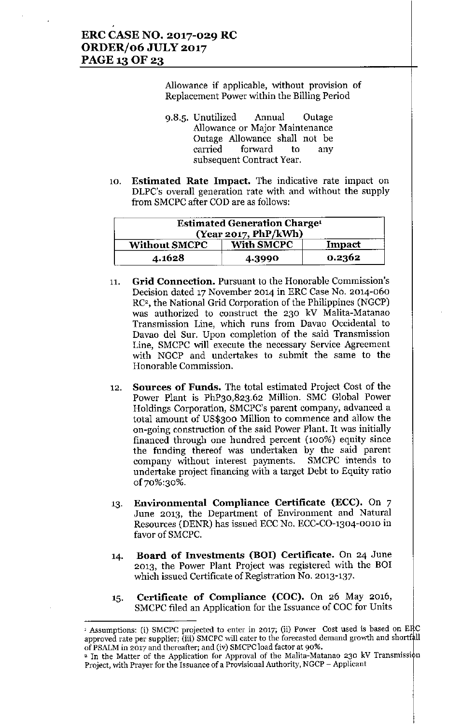Allowance if applicable, without provision of Replacement Power within the Billing Period

- 9.8.5. Unutilized Annual Outage Allowance or Major Maintenance Ontage Allowance shall not be carried forward to any subsequent Contract Year.
- 10. **Estimated Rate Impact.** The indicative rate impact on DLPC's overall generation rate with and without the supply from SMCPC after COD are as follows:

|                      | <b>Estimated Generation Charge<sup>1</sup></b><br>(Year 2017, PhP/kWh) |        |
|----------------------|------------------------------------------------------------------------|--------|
| <b>Without SMCPC</b> | <b>With SMCPC</b>                                                      | Impact |
| 4.1628               | 4.3990                                                                 | 0.2362 |

- 11, **Grid Connection.** Pursuant to the Honorable Commission's Decision dated 17 November 2014 in ERC Case No. 2014-060 RC', the National Grid Corporation of the Philippines (NGCP) was authorized to construct the 230 kV Malita-Matanao Transmission Line, which runs from Davao Occidental to Davao del Sur. Upon completion of the said Transmission Line, SMCPC will execute the necessary Service Agreement with NGCP and undertakes to submit the same to the Honorable Commission.
- 12. Sources of Funds. The total estimated Project Cost of the Power Plant is PhP30,823.62 Million. SMC Global Power Holdings Corporation, SMCPC's parent company, advanced a total amount of US\$300 Million to commence and allow the on-going construction of the said Power Plant. It was initially financed through one hundred percent (100%) equity since the funding thereof was undertaken by the said parent company without interest payments. SMCPC intends to undertake project financing with a target Debt to Equity ratio of 70%:30%.
- 13. Environmental Compliance Certificate (ECC). On 7 June 2013, the Department of Environment and Natural Resources (DENR) has issued ECC No. ECC-CO-1304-0010 in favor of SMCPC.
- 14. Board of Investments (BOI) Certificate. On 24 June 2013, the Power Plant Project was registered with the BOr which issued Certificate of Registration No. 2013-137.
- 15. Certificate of Compliance (COC). On 26 May 2016, SMCPC filed an Application for the Issuance of COC for Units

<sup>&</sup>lt;sup>1</sup> Assumptions: (i) SMCPC projected to enter in 2017; (ii) Power Cost used is based on ERC approved rate per supplier; (iii) SMCPC will cater to the forecasted demand growth and shortfall of PSALM in 2017 and thereafter; and (iv) SMCPC load factor at 90%.

<sup>&</sup>lt;sup>2</sup> In the Matter of the Application for Approval of the Malita-Matanao 230 kV Transmission Project, with Prayer for the Issuance of a Provisional Authority, NGCP - Applicant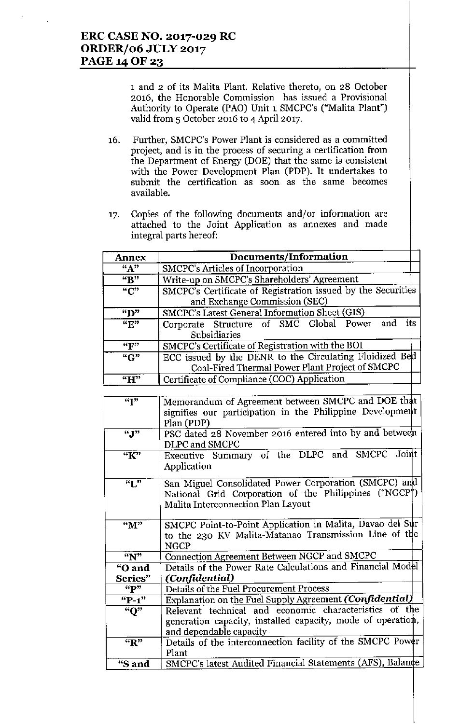**1 and 2 of its Malita Plant. Relative thereto, on 28 October 2016, the Honorable Commission has issued a Provisional** Authority to Operate (PAD) Unit 1 SMCPC's ("Malita Plant") valid from 5 October 2016 to 4 April 2017.

- 16. **Further, SMCPC's Power Plant is considered as a committed project, and is in the process of securing a certification from** the Department of Energy (DOE) that the same is consistent with the Power Development Plan (PDP). It undertakes to **submit** the **certification** as **soon** as the **same becomes** available.
- 17. Copies of the following documents **and/or information are** attached to the Joint Application **as annexes and made** integral parts hereof:

| <b>Annex</b>                | Documents/Information                                                                                      |  |  |  |
|-----------------------------|------------------------------------------------------------------------------------------------------------|--|--|--|
| "A"                         | SMCPC's Articles of Incorporation                                                                          |  |  |  |
| $\overline{B''}$            | Write-up on SMCPC's Shareholders' Agreement                                                                |  |  |  |
| $\overline{C''}$            | SMCPC's Certificate of Registration issued by the Securities<br>and Exchange Commission (SEC)              |  |  |  |
| "D"                         | <b>SMCPC's Latest General Information Sheet (GIS)</b>                                                      |  |  |  |
| $\overline{``E"'}$          | its<br>Corporate Structure of SMC Global Power and<br>Subsidiaries                                         |  |  |  |
| ``F"                        | SMCPC's Certificate of Registration with the BOI                                                           |  |  |  |
| ``G"                        | ECC issued by the DENR to the Circulating Fluidized Bed<br>Coal-Fired Thermal Power Plant Project of SMCPC |  |  |  |
| $\mathbf{H}^{\prime\prime}$ | Certificate of Compliance (COC) Application                                                                |  |  |  |

| $\overline{r}$    | Memorandum of Agreement between SMCPC and DOE that          |
|-------------------|-------------------------------------------------------------|
|                   | signifies our participation in the Philippine Development   |
|                   | Plan (PDP)                                                  |
| ``J"              | PSC dated 28 November 2016 entered into by and between      |
|                   | DLPC and SMCPC                                              |
| $\overline{K}$ "  | Executive Summary of the DLPC and SMCPC Joint               |
|                   | Application                                                 |
|                   |                                                             |
| $\overline{``L"}$ | San Miguel Consolidated Power Corporation (SMCPC) and       |
|                   | National Grid Corporation of the Philippines ("NGCP")       |
|                   | Malita Interconnection Plan Layout                          |
|                   |                                                             |
| "M"               | SMCPC Point-to-Point Application in Malita, Davao del Sur   |
|                   | to the 230 KV Malita-Matanao Transmission Line of the       |
|                   | <b>NGCP</b>                                                 |
| $\overline{N}$    | Connection Agreement Between NGCP and SMCPC                 |
| "O and            | Details of the Power Rate Calculations and Financial Model  |
| Series"           | (Confidential)                                              |
| $\mathbf{p}$      | Details of the Fuel Procurement Process                     |
| $"P-1"$           | Explanation on the Fuel Supply Agreement (Confidential)     |
| $\overline{N}$    | Relevant technical and economic characteristics of the      |
|                   | generation capacity, installed capacity, mode of operation, |
|                   | and dependable capacity                                     |
| $R^*$             | Details of the interconnection facility of the SMCPC Power  |
|                   | Plant                                                       |
| "S and            | SMCPC's latest Audited Financial Statements (AFS), Balance  |
|                   |                                                             |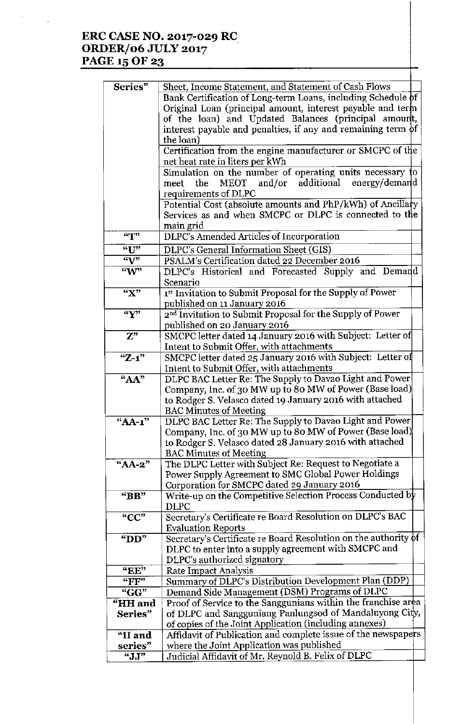# **ERC CASE NO. 2017-029 RC** *ORDERJ06* **JULY 2017** PAGE 15 OF 23

 $\bar{\phantom{a}}$ 

| Series"                     | Sheet, Income Statement, and Statement of Cash Flows            |
|-----------------------------|-----------------------------------------------------------------|
|                             | Bank Certification of Long-term Loans, including Schedule of    |
|                             | Original Loan (principal amount, interest payable and term      |
|                             | of the loan) and Updated Balances (principal amount,            |
|                             | interest payable and penalties, if any and remaining term of    |
|                             | the loan)                                                       |
|                             | Certification from the engine manufacturer or SMCPC of the      |
|                             | net heat rate in liters per kWh                                 |
|                             | Simulation on the number of operating units necessary to        |
|                             | MEOT and/or additional<br>energy/demand<br>meet the             |
|                             | requirements of DLPC                                            |
|                             | Potential Cost (absolute amounts and PhP/kWh) of Ancillary      |
|                             | Services as and when SMCPC or DLPC is connected to the          |
|                             | main grid                                                       |
| $\mathbf{H}^{\prime\prime}$ | DLPC's Amended Articles of Incorporation                        |
|                             |                                                                 |
| "U"                         | DLPC's General Information Sheet (GIS)                          |
| $\overline{\mathbf{w}}$     | PSALM's Certification dated 22 December 2016                    |
| W                           | DLPC's Historical and Forecasted Supply and Demand              |
|                             | Scenario                                                        |
| $\overline{\mathbf{X}^*}$   | 1st Invitation to Submit Proposal for the Supply of Power       |
|                             | published on 11 January 2016                                    |
| $\overline{``Y''}$          | 2nd Invitation to Submit Proposal for the Supply of Power       |
|                             | published on 20 January 2016                                    |
| $\overline{\mathbf{Z}^n}$   | SMCPC letter dated 14 January 2016 with Subject: Letter of      |
|                             | Intent to Submit Offer, with attachments                        |
| $"Z-1"$                     | SMCPC letter dated 25 January 2016 with Subject: Letter of      |
|                             | Intent to Submit Offer, with attachments                        |
| $A^{\prime\prime}$          | DLPC BAC Letter Re: The Supply to Davao Light and Power         |
|                             | Company, Inc. of 30 MW up to 80 MW of Power (Base load)         |
|                             | to Rodger S. Velasco dated 19 January 2016 with attached        |
|                             | <b>BAC Minutes of Meeting</b>                                   |
| "AA-1"                      | DLPC BAC Letter Re: The Supply to Davao Light and Power         |
|                             | Company, Inc. of 30 MW up to 80 MW of Power (Base load)         |
|                             | to Rodger S. Velasco dated 28 January 2016 with attached        |
|                             | <b>BAC Minutes of Meeting</b>                                   |
| $"AA-2"$                    | The DLPC Letter with Subject Re: Request to Negotiate a         |
|                             | Power Supply Agreement to SMC Global Power Holdings             |
|                             | Corporation for SMCPC dated 29 January 2016                     |
| "BB"                        | Write-up on the Competitive Selection Process Conducted by      |
|                             | DLPC                                                            |
| "CC"                        | Secretary's Certificate re Board Resolution on DLPC's BAC       |
|                             | <b>Evaluation Reports</b>                                       |
| " $DD"$                     | Secretary's Certificate re Board Resolution on the authority of |
|                             | DLPC to enter into a supply agreement with SMCPC and            |
|                             | DLPC's authorized signatory                                     |
| "EE"                        | Rate Impact Analysis                                            |
| "FF"                        | Summary of DLPC's Distribution Development Plan (DDP)           |
| "GG"                        | Demand Side Management (DSM) Programs of DLPC                   |
| "HH and                     | Proof of Service to the Sanggunians within the franchise area   |
| Series"                     | of DLPC and Sangguniang Panlungsod of Mandaluyong City,         |
|                             | of copies of the Joint Application (including annexes)          |
| "II and                     | Affidavit of Publication and complete issue of the newspapers   |
| series"                     | where the Joint Application was published                       |
| $\overline{``JJ"}$          | Judicial Affidavit of Mr. Reynold B. Felix of DLPC              |
|                             |                                                                 |

Ł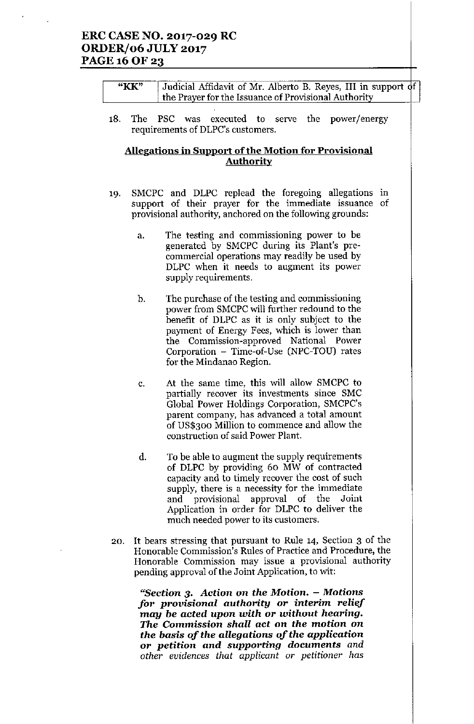# ERC CASE NO. 2017-029 RC ORDER/06 JULY 2017 PAGE 16 OF 23

| "KK" | Judicial Affidavit of Mr. Alberto B. Reyes, III in support of |  |
|------|---------------------------------------------------------------|--|
|      | the Prayer for the Issuance of Provisional Authority          |  |
|      |                                                               |  |

18. The PSC was executed to serve the power/energy requirements of DLPC's customers.

## Allegations in Support of the Motion for Provisional **Authority**

- 19. SMCPC and DLPC replead the foregoing allegations in support of their prayer for the immediate issuance of provisional authority, anchored on the following grounds:
	- a. The testing and commissioning power to be generated by SMCPC during its Plant's precommercial operations may readily be used by DLPC when it needs to augment its power supply requirements.
	- b. The purchase of the testing and commissioning power from SMCPC will further redound to the benefit of DLPC as it is only subject to the payment of Energy Fees, which is lower than the Commission-approved National Power Corporation - Time-of-Use (NPC-TOU) rates for the Mindanao Region.
	- c. At the same time, this will allow SMCPC to partially recover its investments since SMC Global Power Holdings Corporation, SMCPC's parent company, has advanced a total amount of US\$300 Million to commence and allow the construction of said Power Plant.
	- d. To be able to augment the supply requirements of DLPC by providing 60 MW of contracted capacity and to timely recover the cost of such supply, there is a necessity for the immediate and provisional approval of the Joint Application in order for DLPC to deliver the much needed power to its customers.
- 20. It bears stressing that pursuant to Rule 14, Section 3 of the Honorable Commission's Rules of Practice and Procedure, the Honorable Commission may issue a provisional authority pending approval of the Joint Application, to wit:

*"Section* 3. *Action* on *the Motion. - Motions for provisional authority or interim relief may be acted upon with or without hearing. The Commission shall act on the motion on the basis* of *the allegations* of *the application or petition and supporting* documents *and other evidences that applicant* or *petitioner has*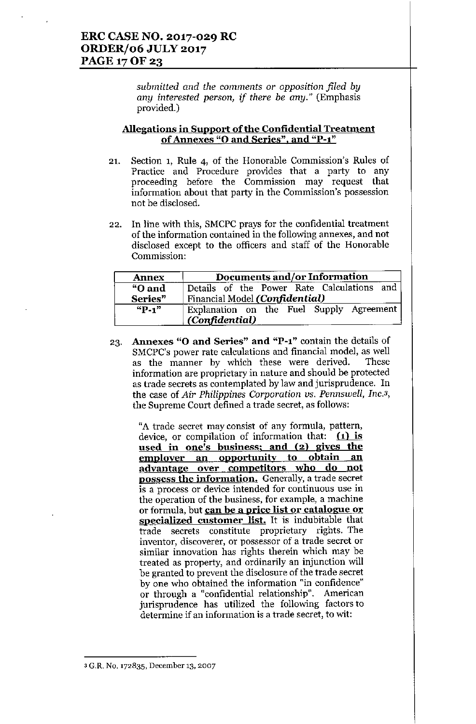*submitted and the comments* or *opposition filed by any interested person, if there be any."* (Emphasis provided.)

#### Allegations in Support of the Confidential Treatment of Annexes "0 and Series", and "P-l"

- 21. Section 1, Rule 4, of the Honorable Commission's Rules of Practice and Procedure provides that a party to any proceeding before the Commission may request that information about that party in the Commission's possession not be disclosed.
- 22. In line with this, SMCPC prays for the confidential treatment of the information contained in the following annexes, and not disclosed except to the officers and staff of the Honorable Commission:

| <b>Annex</b> | Documents and/or Information               |
|--------------|--------------------------------------------|
| "O and       | Details of the Power Rate Calculations and |
| Series"      | Financial Model (Confidential)             |
| $"P-1"$      | Explanation on the Fuel Supply Agreement   |
|              | (Confidential)                             |

23. Annexes "0 and Series" and "P-l" contain the details of SMCPC's power rate calculations and financial model, as well as the manner by which these were derived. These information are proprietary in nature and should be protected as trade secrets as contemplated by law and jurisprudence. In the case of *Air Philippines Corporation us. Pennswell, Inc.3,* the Supreme Court defined a trade secret, as follows:

"A trade secret may consist of any formula, pattern, device, or compilation of information that:  $(1)$  is used in one's business; and (2) gives the employer an opportunity to obtain an advantage over competitors who do not possess the information. Generally, a trade secret is a process or device intended for continuous use in the operation of the business, for example, a machine or formula, but can be a price list or catalogue or specialized customer list. It is indubitable that trade secrets constitute proprietary rights. The inventor, discoverer, or possessor of a trade secret or similar innovation has rights therein which may be treated as property, and ordinarily an injunction will be granted to prevent the disclosure of the trade secret by one who obtained the information "in confidence" or through a "confidential relationship". American jurisprudence has utilized the following factors to determine if an information is a trade secret, to wit:

<sup>3</sup> G.R. No. 172835, December 13, 2007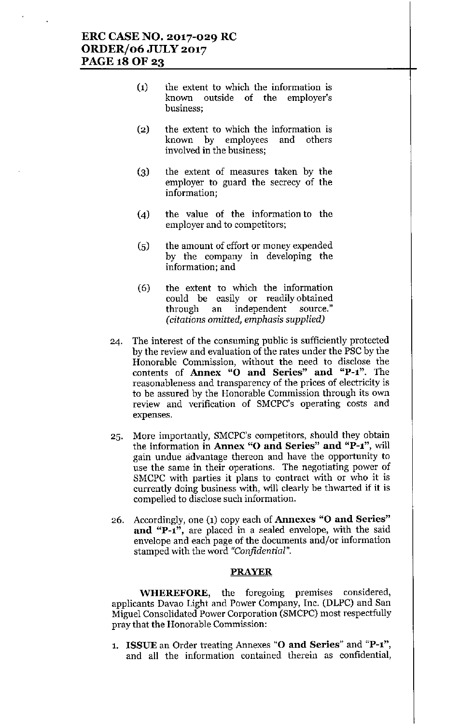# ERC CASE NO. 2017-029 RC ORDER/06 JULY 2017 PAGE 18 OF 23

- (1) the extent to which the information is known outside of the employer's business;
- (2) the extent to which the information is known by employees and others involved in the business;
- (3) the extent of measures taken by the employer to guard the secrecy of the information;
- (4) the value of the information to the employer and to competitors;
- (5) the amount of effort or money expended by the company in developing the information; and
- (6) the extent to which the information could be easily or readily obtained through an independent source," *(citations omitted, emphasis supplied)*
- 24. The interest of the consuming public is sufficiently protected by the review and evalnation of the rates under the PSC by the Honorable Commission, without the need to disclose the contents of Annex "0 and Series" and "P-l". The reasonableness and transparency of the prices of electricity is to be assured by the Honorable Commission through its own review and verification of SMCPC's operating costs and expenses.
- 25. More importantly, SMCPC's competitors, should they obtain the information in Annex "O and Series" and "P-1", will gain undue advantage thereon and have the opportunity to use the same in their operations. The negotiating power of SMCPC with parties it plans to contract with or who it is currently doing business with, will clearly be thwarted if it is compelled to disclose such information.
- 26. Accordingly, one (1) copy each of Annexes "0 and Series" and "P- $1$ ", are placed in a sealed envelope, with the said envelope and each page of the documents and/or information stamped with the word *"Confidential".*

#### PRAYER

WHEREFORE, the foregoing premises considered, applicants Davao Light and Power Company, Inc. (DLPC) and San Miguel Consolidated Power Corporation (SMCPC) most respectfully pray that the Honorable Commission:

1. ISSUE an Order treating Annexes "O and Series" and "P-1", and all the information contained therein as confidential,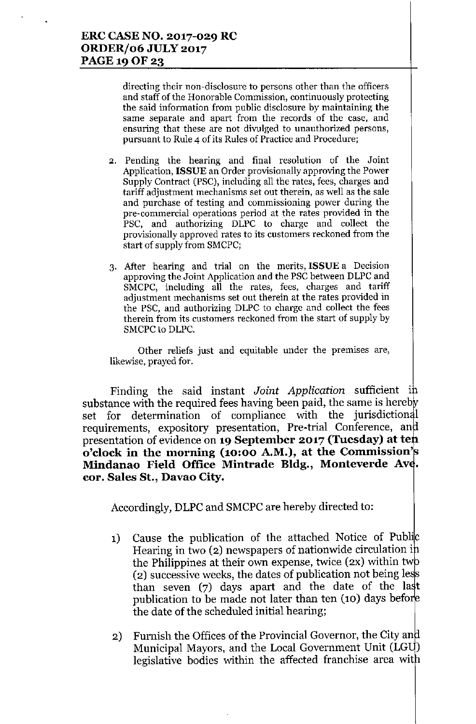**directing their non-disclosure to persons other than the officers and staff of the Honorable Commission, continuously protecting the said information from public disclosure by maintaining the same separate and apart from the records of the case, and ensuring that these are not divulged to unauthorized persons, pursuant to Rule 4 of its Rules of Practice and Procedure;**

- **2. Pending the hearing and final resolution of the Joint** Application, **ISSUE** an Order provisionally approving the Power Supply Contract (PSC), including all the rates, fees, charges and **tariff adjustment mechanisms set out therein, as well as the sale and purchase of testing and commissioning power during the pre-commercial operations period at the rates provided in the** PSC, and authorizing DLPC to charge and collect the **provisionally approved rates to its customers reckoned from the** start of supply from SMCPC;
- **3. After hearing and trial on the merits, ISSUE a Decision** approving the Joint Application and the PSC between DLPC and **SMCPC, including all the rates, fees, charge's and tariff adjustment mechanisms set out therein at the rates provided in** the PSC, and authorizing DLPC to charge and collect the fees **therein from its customers reckoned from the start of supply by** SMCPC to DLPC.

**Other reliefs just and equitable under the premises are, likewise, prayed for.**

Finding the said instant *Joint Application* sufficient i substance with the required fees having been paid, the same is hereby set for determination of compliance with the jurisdictional requirements, expository presentation, Pre-trial Conference, an presentation of evidence on **19 September 2017 (Tuesday) at te o'clock in the morning (10:00 A.M.), at the Commission' Mindanao Field Office Mintrade Bldg., Monteverde Av . cor. Sales St., Davao City.**

Accordingly, DLPC and SMCPC are hereby directed to:

- 1) Cause the publication of the attached Notice of Public Hearing in two (2) newspapers of nationwide circulation i the Philippines at their own expense, twice  $(2x)$  within two  $(2)$  successive weeks, the dates of publication not being less than seven  $(7)$  days apart and the date of the last publication to be made not later than ten (10) days befo the date of the scheduled initial hearing;
- 2) Furnish the Offices of the Provincial Governor, the City and Municipal Mayors, and the Local Government Unit (LGU) legislative bodies within the affected franchise area wit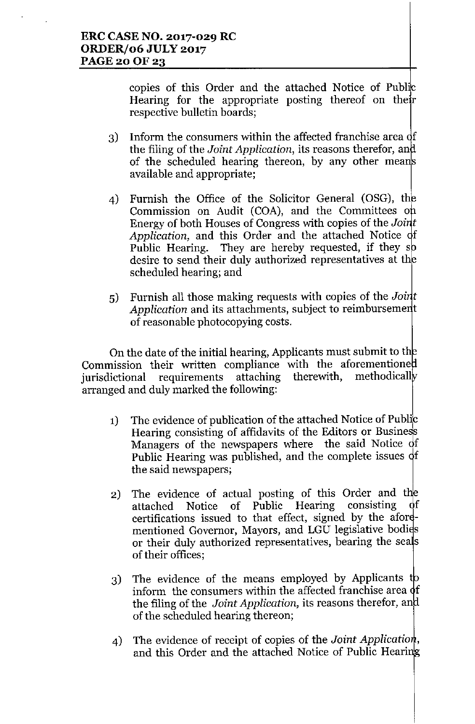copies of this Order and the attached Notice of Public Hearing for the appropriate posting thereof on their respective bulletin boards;

- 3) Inform the consumers within the affected franchise area of the filing of the *Joint Application,* its reasons therefor, an of the scheduled hearing thereon, by any other means available and appropriate;
- 4) Furnish the Office of the Solicitor General (OSG), th Commission on Audit (COA), and the Committees on Energy of both Houses of Congress with copies of the *Joint* Application, and this Order and the attached Notice of Public Hearing. They are hereby requested, if they s desire to send their duly authorized representatives at th scheduled hearing; and
- 5) Furnish all those making requests with copies of the *Joint* Application and its attachments, subject to reimbursement of reasonable photocopying costs.

On the date of the initial hearing, Applicants must submit to th Commission their written compliance with the aforementione jurisdictional requirements attaching therewith, methodicall arranged and duly marked the following:

- 1) The evidence of publication of the attached Notice of Public Hearing consisting of affidavits of the Editors or Business Managers of the newspapers where the said Notice of Public Hearing was published, and the complete issues  $\phi$ f the said newspapers;
- 2) The evidence of actual posting of this Order and the attached Notice of Public Hearing consisting of attached Notice of Public Hearing consisting of certifications issued to that effect, signed by the aforementioned Governor, Mayors, and LGU legislative bodies or their duly authorized representatives, bearing the seals of their offices;
- 3) The evidence of the means employed by Applicants to inform the consumers within the affected franchise area  $\phi$ f the filing of the *Joint Application,* its reasons therefor, an of the scheduled hearing thereon;
- 4) The evidence of receipt of copies of the *Joint Applicatio ,* and this Order and the attached Notice of Public Heari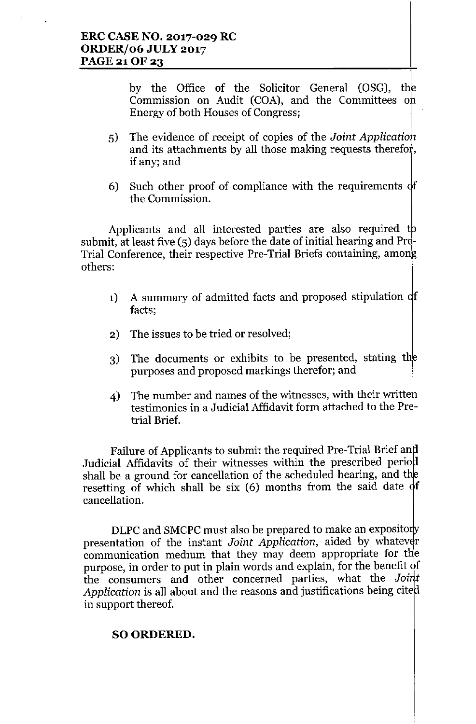by the Office of the Solicitor General (OSG), t Commission on Audit (COA), and the Committees on Energy of both Houses of Congress;

- 5) The evidence of receipt of copies of the *Joint Applicatio* and its attachments by all those making requests therefor, if any; and
- 6) Such other proof of compliance with the requirements  $\phi$ f the Commission.

Applicants and all interested parties are also required to submit, at least five  $(5)$  days before the date of initial hearing and Pre-Trial Conference, their respective Pre-Trial Briefs containing, amon others:

- 1) A summary of admitted facts and proposed stipulation of facts;
- 2) The issues to be tried or resolved;
- 3) The documents or exhibits to be presented, stating th purposes and proposed markings therefor; and
- 4) The number and names of the witnesses, with their writte testimonies in a Judicial Affidavit form attached to the Pretrial Brief.

Failure of Applicants to submit the required Pre-Trial Brief an Judicial Affidavits of their witnesses within the prescribed perio shall be a ground for cancellation of the scheduled hearing, and t resetting of which shall be six (6) months from the said date of cancellation.

DLPC and SMCPC must also be prepared to make an expositorly presentation of the instant *Joint Application*, aided by whatever communication medium that they may deem appropriate for the purpose, in order to put in plain words and explain, for the benefit of the consumers and other concerned parties, what the *Joint* Application is all about and the reasons and justifications being cited in support thereof.

# SO ORDERED.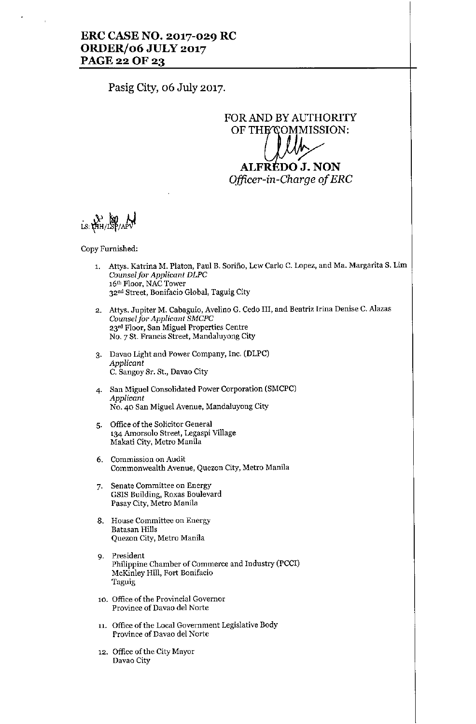## ERC CASE NO. 2017-029 RC ORDER/06 JULY 2017 PAGE 22 OF 23

Pasig City, 06 July 2017.

FORAND BY AUTHORITY OF THE⁄COMMISSION: ALFRÉDO J. NON *Ojficer-in-Gharge of ERG*

LS: LAH/LSP/APV

Copy Furnished:

- 1. Attys. Katrina M. Platon, Paul B. Sorino, Lew Carlo C. Lopez, and Ma. Margarita S. Lim *Counselfor Applicant DLPC* 16th Floor, NAC Tower 32<sup>nd</sup> Street, Bonifacio Global, Taguig City
- 2. Attys. Jupiter M. Cabaguio, Avelino G. Cedo III, and Beatriz Irina Denise C. Alazas *Counseljor Applicant SMCPC* 23rd Floor, San Miguel Properties Centre NO.7 St. Francis Street, Mandaluyong City
- 3. Davao Light and Power Company, Inc. (DLPC) *Applicant* C. Sangoy Sr. St., Davao City
- 4. San Miguel Consolidated Power Corporation (SMCPC) *Applicant* No. 40 San Miguel Avenue, Mandaluyong City
- 5. Office of the Solicitor General 134 Amorsolo Street, Legaspi Village Makati City, Metro Manila
- 6. Commission on Audit Commonwealth Avenue, Quezon City, Metro Manila
- 7. Senate Committee on Energy GSIS Building, Roxas Boulevard Pasay City, Metro Manila
- 8. House Committee on Energy Batasan Hills Quezon City, Metro Manila
- 9. President Philippine Chamber of Commerce and Industry (PCCI) McKinley Hill, Fort Bonifacio Taguig
- 10. Office of the Provincial Governor Province of Davao del Norte
- 11. Office of the Local Government Legislative Body Province of Davao del Norte
- 12. Office of the City Mayor Davao City